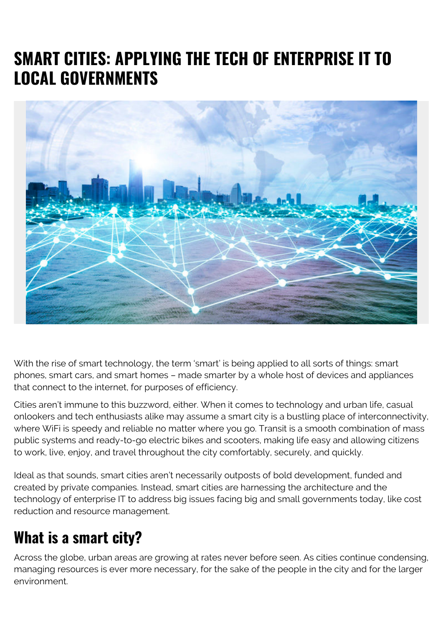# **SMART CITIES: APPLYING THE TECH OF ENTERPRISE IT TO LOCAL GOVERNMENTS**



With the rise of smart technology, the term 'smart' is being applied to all sorts of things: smart phones, smart cars, and smart homes – made smarter by a whole host of devices and appliances that connect to the internet, for purposes of efficiency.

Cities aren't immune to this buzzword, either. When it comes to technology and urban life, casual onlookers and tech enthusiasts alike may assume a smart city is a bustling place of interconnectivity, where WiFi is speedy and reliable no matter where you go. Transit is a smooth combination of mass public systems and ready-to-go electric bikes and scooters, making life easy and allowing citizens to work, live, enjoy, and travel throughout the city comfortably, securely, and quickly.

Ideal as that sounds, smart cities aren't necessarily outposts of bold development, funded and created by private companies. Instead, smart cities are harnessing the architecture and the technology of enterprise IT to address big issues facing big and small governments today, like cost reduction and resource management.

## **What is a smart city?**

Across the globe, urban areas are growing at rates never before seen. As cities continue condensing, managing resources is ever more necessary, for the sake of the people in the city and for the larger environment.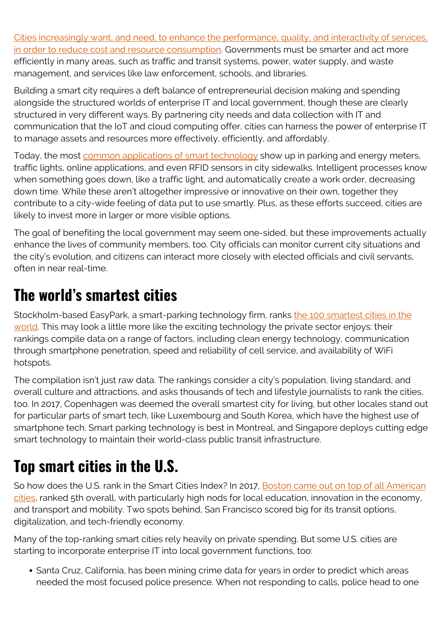[Cities increasingly want, and need, to enhance the performance, quality, and interactivity of services,](https://en.wikipedia.org/wiki/Smart_city) [in order to reduce cost and resource consumption](https://en.wikipedia.org/wiki/Smart_city). Governments must be smarter and act more efficiently in many areas, such as traffic and transit systems, power, water supply, and waste management, and services like law enforcement, schools, and libraries.

Building a smart city requires a deft balance of entrepreneurial decision making and spending alongside the structured worlds of enterprise IT and local government, though these are clearly structured in very different ways. By partnering city needs and data collection with IT and communication that the IoT and cloud computing offer, cities can harness the power of enterprise IT to manage assets and resources more effectively, efficiently, and affordably.

Today, the most **common applications of smart technology** show up in parking and energy meters, traffic lights, online applications, and even RFID sensors in city sidewalks. Intelligent processes know when something goes down, like a traffic light, and automatically create a work order, decreasing down time. While these aren't altogether impressive or innovative on their own, together they contribute to a city-wide feeling of data put to use smartly. Plus, as these efforts succeed, cities are likely to invest more in larger or more visible options.

The goal of benefiting the local government may seem one-sided, but these improvements actually enhance the lives of community members, too. City officials can monitor current city situations and the city's evolution, and citizens can interact more closely with elected officials and civil servants, often in near real-time.

## **The world's smartest cities**

Stockholm-based EasyPark, a smart-parking technology firm, ranks [the 100 smartest cities in the](https://web.archive.org/web/20180724135947/https://easyparkgroup.com/smart-cities-index/) [world.](https://web.archive.org/web/20180724135947/https://easyparkgroup.com/smart-cities-index/) This may look a little more like the exciting technology the private sector enjoys: their rankings compile data on a range of factors, including clean energy technology, communication through smartphone penetration, speed and reliability of cell service, and availability of WiFi hotspots.

The compilation isn't just raw data. The rankings consider a city's population, living standard, and overall culture and attractions, and asks thousands of tech and lifestyle journalists to rank the cities, too. In 2017, Copenhagen was deemed the overall smartest city for living, but other locales stand out for particular parts of smart tech, like Luxembourg and South Korea, which have the highest use of smartphone tech. Smart parking technology is best in Montreal, and Singapore deploys cutting edge smart technology to maintain their world-class public transit infrastructure.

# **Top smart cities in the U.S.**

So how does the U.S. rank in the Smart Cities Index? In 2017, [Boston came out on top of all American](https://www.zdnet.com/article/boston-leads-the-us-in-smart-cities-ranking/) [cities](https://www.zdnet.com/article/boston-leads-the-us-in-smart-cities-ranking/), ranked 5th overall, with particularly high nods for local education, innovation in the economy, and transport and mobility. Two spots behind, San Francisco scored big for its transit options, digitalization, and tech-friendly economy.

Many of the top-ranking smart cities rely heavily on private spending. But some U.S. cities are starting to incorporate enterprise IT into local government functions, too:

• Santa Cruz, California, has been mining crime data for years in order to predict which areas needed the most focused police presence. When not responding to calls, police head to one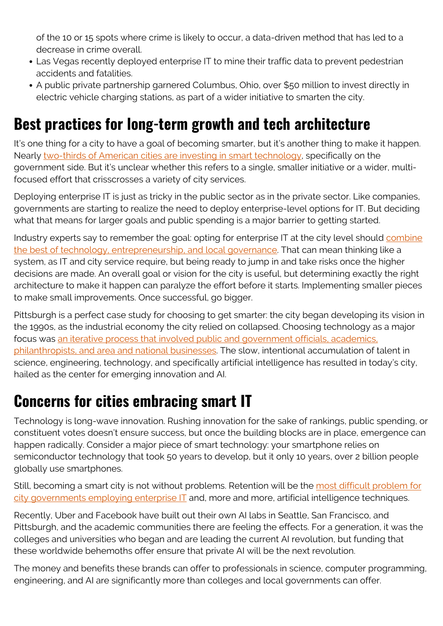of the 10 or 15 spots where crime is likely to occur, a data-driven method that has led to a decrease in crime overall.

- Las Vegas recently deployed enterprise IT to mine their traffic data to prevent pedestrian accidents and fatalities.
- A public private partnership garnered Columbus, Ohio, over \$50 million to invest directly in electric vehicle charging stations, as part of a wider initiative to smarten the city.

### **Best practices for long-term growth and tech architecture**

It's one thing for a city to have a goal of becoming smarter, but it's another thing to make it happen. Nearly [two-thirds of American cities are investing in smart technology](https://www.techrepublic.com/article/66-of-us-cities-are-investing-in-smart-city-technology/), specifically on the government side. But it's unclear whether this refers to a single, smaller initiative or a wider, multifocused effort that crisscrosses a variety of city services.

Deploying enterprise IT is just as tricky in the public sector as in the private sector. Like companies, governments are starting to realize the need to deploy enterprise-level options for IT. But deciding what that means for larger goals and public spending is a major barrier to getting started.

Industry experts say to remember the goal: opting for enterprise IT at the city level should [combine](https://www.zdnet.com/article/cisco-ceo-chuck-robbins-on-smart-cities-architecture/) [the best of technology, entrepreneurship, and local governance.](https://www.zdnet.com/article/cisco-ceo-chuck-robbins-on-smart-cities-architecture/) That can mean thinking like a system, as IT and city service require, but being ready to jump in and take risks once the higher decisions are made. An overall goal or vision for the city is useful, but determining exactly the right architecture to make it happen can paralyze the effort before it starts. Implementing smaller pieces to make small improvements. Once successful, go bigger.

Pittsburgh is a perfect case study for choosing to get smarter: the city began developing its vision in the 1990s, as the industrial economy the city relied on collapsed. Choosing technology as a major focus was [an iterative process that involved public and government officials, academics,](https://nextcity.org/daily/entry/how-the-once-struggling-pittsburgh-is-reinventing-itself-as-innovation-hub) [philanthropists, and area and national businesses.](https://nextcity.org/daily/entry/how-the-once-struggling-pittsburgh-is-reinventing-itself-as-innovation-hub) The slow, intentional accumulation of talent in science, engineering, technology, and specifically artificial intelligence has resulted in today's city, hailed as the center for emerging innovation and AI.

### **Concerns for cities embracing smart IT**

Technology is long-wave innovation. Rushing innovation for the sake of rankings, public spending, or constituent votes doesn't ensure success, but once the building blocks are in place, emergence can happen radically. Consider a major piece of smart technology: your smartphone relies on semiconductor technology that took 50 years to develop, but it only 10 years, over 2 billion people globally use smartphones.

Still, becoming a smart city is not without problems. Retention will be the [most difficult problem for](https://www.nytimes.com/2018/05/04/technology/facebook-artificial-intelligence-researchers.html) [city governments employing enterprise IT](https://www.nytimes.com/2018/05/04/technology/facebook-artificial-intelligence-researchers.html) and, more and more, artificial intelligence techniques.

Recently, Uber and Facebook have built out their own AI labs in Seattle, San Francisco, and Pittsburgh, and the academic communities there are feeling the effects. For a generation, it was the colleges and universities who began and are leading the current AI revolution, but funding that these worldwide behemoths offer ensure that private AI will be the next revolution.

The money and benefits these brands can offer to professionals in science, computer programming, engineering, and AI are significantly more than colleges and local governments can offer.